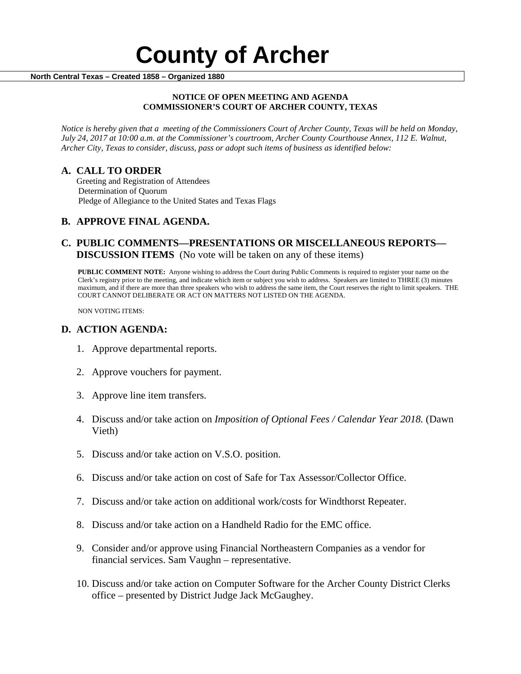# **County of Archer And County of Archer North Central Texas – Created 1858 – Organized 1880**

#### **NOTICE OF OPEN MEETING AND AGENDA COMMISSIONER'S COURT OF ARCHER COUNTY, TEXAS**

*Notice is hereby given that a meeting of the Commissioners Court of Archer County, Texas will be held on Monday, July 24, 2017 at 10:00 a.m. at the Commissioner's courtroom, Archer County Courthouse Annex, 112 E. Walnut, Archer City, Texas to consider, discuss, pass or adopt such items of business as identified below:*

**A. CALL TO ORDER** Greeting and Registration of Attendees Determination of Quorum Pledge of Allegiance to the United States and Texas Flags

## **B. APPROVE FINAL AGENDA.**

### **C. PUBLIC COMMENTS—PRESENTATIONS OR MISCELLANEOUS REPORTS— DISCUSSION ITEMS** (No vote will be taken on any of these items)

**PUBLIC COMMENT NOTE:** Anyone wishing to address the Court during Public Comments is required to register your name on the Clerk's registry prior to the meeting, and indicate which item or subject you wish to address. Speakers are limited to THREE (3) minutes maximum, and if there are more than three speakers who wish to address the same item, the Court reserves the right to limit speakers. THE COURT CANNOT DELIBERATE OR ACT ON MATTERS NOT LISTED ON THE AGENDA.

NON VOTING ITEMS:

#### **D. ACTION AGENDA:**

- 1. Approve departmental reports.
- 2. Approve vouchers for payment.
- 3. Approve line item transfers.
- 4. Discuss and/or take action on *Imposition of Optional Fees / Calendar Year 2018.* (Dawn Vieth)
- 5. Discuss and/or take action on V.S.O. position.
- 6. Discuss and/or take action on cost of Safe for Tax Assessor/Collector Office.
- 7. Discuss and/or take action on additional work/costs for Windthorst Repeater.
- 8. Discuss and/or take action on a Handheld Radio for the EMC office.
- 9. Consider and/or approve using Financial Northeastern Companies as a vendor for financial services. Sam Vaughn – representative.
- 10. Discuss and/or take action on Computer Software for the Archer County District Clerks office – presented by District Judge Jack McGaughey.